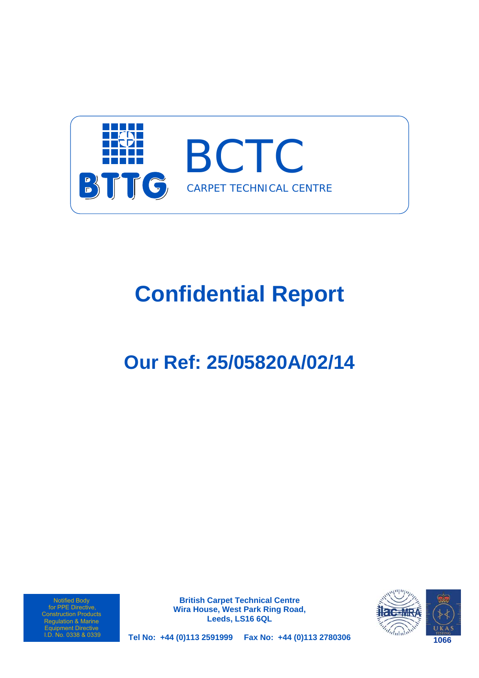

# **Confidential Report**

# **Our Ref: 25/05820A/02/14**

Notified Body for PPE Directive, Construction Products Regulation & Marine Equipment Directive<br>I.D. No. 0338 & 0339

**British Carpet Technical Centre Wira House, West Park Ring Road, Leeds, LS16 6QL** 



**Tel No: +44 (0)113 2591999 Fax No: +44 (0)113 2780306**  I.D. No. 0338 & 0339 **1066**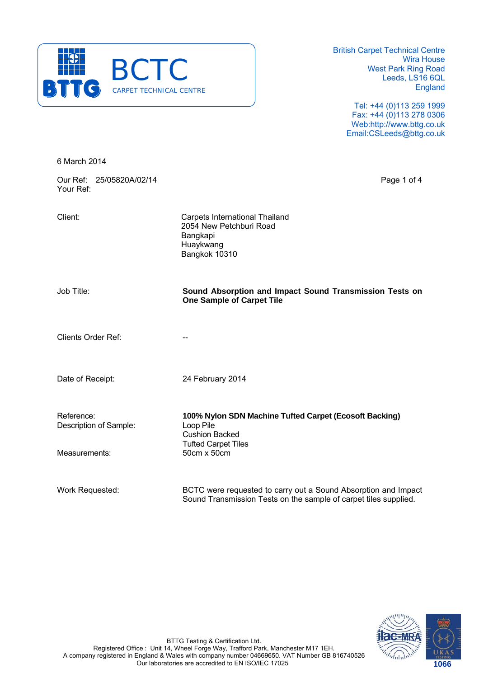

> Tel: +44 (0)113 259 1999 Fax: +44 (0)113 278 0306 Web:http://www.bttg.co.uk Email:CSLeeds@bttg.co.uk

6 March 2014

Our Ref: 25/05820A/02/14 Page 1 of 4 Your Ref:

Client: Carpets International Thailand 2054 New Petchburi Road Bangkapi Huaykwang Bangkok 10310

Job Title: **Sound Absorption and Impact Sound Transmission Tests on One Sample of Carpet Tile**

Clients Order Ref:

Date of Receipt: 24 February 2014

 Cushion Backed Tufted Carpet Tiles

Reference: **100% Nylon SDN Machine Tufted Carpet (Ecosoft Backing)** Description of Sample: Loop Pile

Measurements:

Work Requested: BCTC were requested to carry out a Sound Absorption and Impact Sound Transmission Tests on the sample of carpet tiles supplied.



BTTG Testing & Certification Ltd. Registered Office : Unit 14, Wheel Forge Way, Trafford Park, Manchester M17 1EH. A company registered in England & Wales with company number 04669650. VAT Number GB 816740526 Our laboratories are accredited to EN ISO/IEC 17025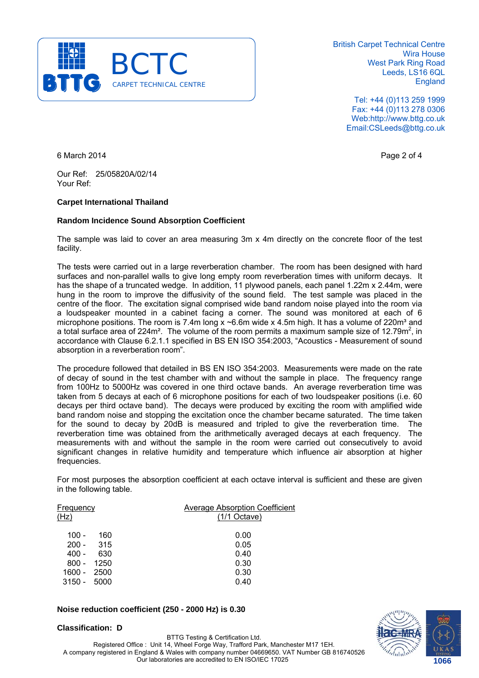

> Tel: +44 (0)113 259 1999 Fax: +44 (0)113 278 0306 Web:http://www.bttg.co.uk Email:CSLeeds@bttg.co.uk

6 March 2014 **Page 2 of 4** 

Our Ref: 25/05820A/02/14 Your Ref:

#### **Carpet International Thailand**

#### **Random Incidence Sound Absorption Coefficient**

The sample was laid to cover an area measuring 3m x 4m directly on the concrete floor of the test facility.

The tests were carried out in a large reverberation chamber. The room has been designed with hard surfaces and non-parallel walls to give long empty room reverberation times with uniform decays. It has the shape of a truncated wedge. In addition, 11 plywood panels, each panel 1.22m x 2.44m, were hung in the room to improve the diffusivity of the sound field. The test sample was placed in the centre of the floor. The excitation signal comprised wide band random noise played into the room via a loudspeaker mounted in a cabinet facing a corner. The sound was monitored at each of 6 microphone positions. The room is 7.4m long  $x \sim 6.6$ m wide x 4.5m high. It has a volume of 220m<sup>3</sup> and a total surface area of 224m<sup>2</sup>. The volume of the room permits a maximum sample size of 12.79m<sup>2</sup>, in accordance with Clause 6.2.1.1 specified in BS EN ISO 354:2003, "Acoustics - Measurement of sound absorption in a reverberation room".

The procedure followed that detailed in BS EN ISO 354:2003. Measurements were made on the rate of decay of sound in the test chamber with and without the sample in place. The frequency range from 100Hz to 5000Hz was covered in one third octave bands. An average reverberation time was taken from 5 decays at each of 6 microphone positions for each of two loudspeaker positions (i.e. 60 decays per third octave band). The decays were produced by exciting the room with amplified wide band random noise and stopping the excitation once the chamber became saturated. The time taken for the sound to decay by 20dB is measured and tripled to give the reverberation time. The reverberation time was obtained from the arithmetically averaged decays at each frequency. The measurements with and without the sample in the room were carried out consecutively to avoid significant changes in relative humidity and temperature which influence air absorption at higher frequencies.

For most purposes the absorption coefficient at each octave interval is sufficient and these are given in the following table.

| Frequency<br>(Hz) |      | Average Absorption Coefficient<br>$(1/1$ Octave) |
|-------------------|------|--------------------------------------------------|
|                   |      |                                                  |
| 100 -             | 160  | 0.00                                             |
| $200 -$           | 315  | 0.05                                             |
| 400 -             | 630  | 0.40                                             |
| $800 -$           | 1250 | 0.30                                             |
| $1600 -$          | 2500 | 0.30                                             |
| $3150 -$          | 5000 | 0.40                                             |

#### **Noise reduction coefficient (250 - 2000 Hz) is 0.30**

**Classification: D** 

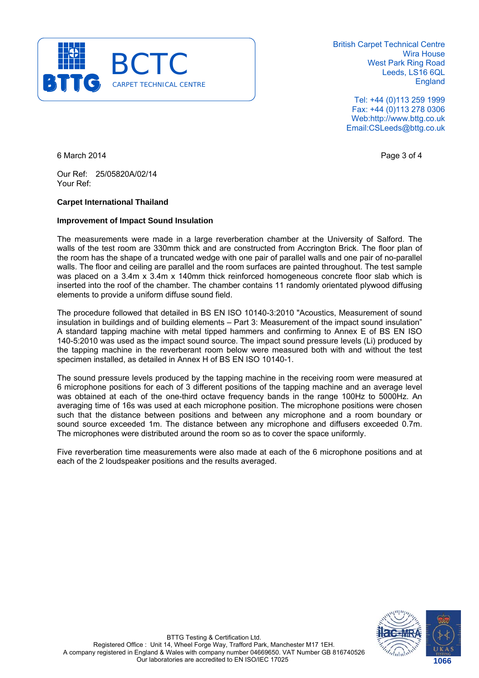

> Tel: +44 (0)113 259 1999 Fax: +44 (0)113 278 0306 Web:http://www.bttg.co.uk Email:CSLeeds@bttg.co.uk

6 March 2014 **Page 3 of 4** 

Our Ref: 25/05820A/02/14 Your Ref:

### **Carpet International Thailand**

#### **Improvement of Impact Sound Insulation**

The measurements were made in a large reverberation chamber at the University of Salford. The walls of the test room are 330mm thick and are constructed from Accrington Brick. The floor plan of the room has the shape of a truncated wedge with one pair of parallel walls and one pair of no-parallel walls. The floor and ceiling are parallel and the room surfaces are painted throughout. The test sample was placed on a 3.4m x 3.4m x 140mm thick reinforced homogeneous concrete floor slab which is inserted into the roof of the chamber. The chamber contains 11 randomly orientated plywood diffusing elements to provide a uniform diffuse sound field.

The procedure followed that detailed in BS EN ISO 10140-3:2010 "Acoustics, Measurement of sound insulation in buildings and of building elements – Part 3: Measurement of the impact sound insulation" A standard tapping machine with metal tipped hammers and confirming to Annex E of BS EN ISO 140-5:2010 was used as the impact sound source. The impact sound pressure levels (Li) produced by the tapping machine in the reverberant room below were measured both with and without the test specimen installed, as detailed in Annex H of BS EN ISO 10140-1.

The sound pressure levels produced by the tapping machine in the receiving room were measured at 6 microphone positions for each of 3 different positions of the tapping machine and an average level was obtained at each of the one-third octave frequency bands in the range 100Hz to 5000Hz. An averaging time of 16s was used at each microphone position. The microphone positions were chosen such that the distance between positions and between any microphone and a room boundary or sound source exceeded 1m. The distance between any microphone and diffusers exceeded 0.7m. The microphones were distributed around the room so as to cover the space uniformly.

Five reverberation time measurements were also made at each of the 6 microphone positions and at each of the 2 loudspeaker positions and the results averaged.